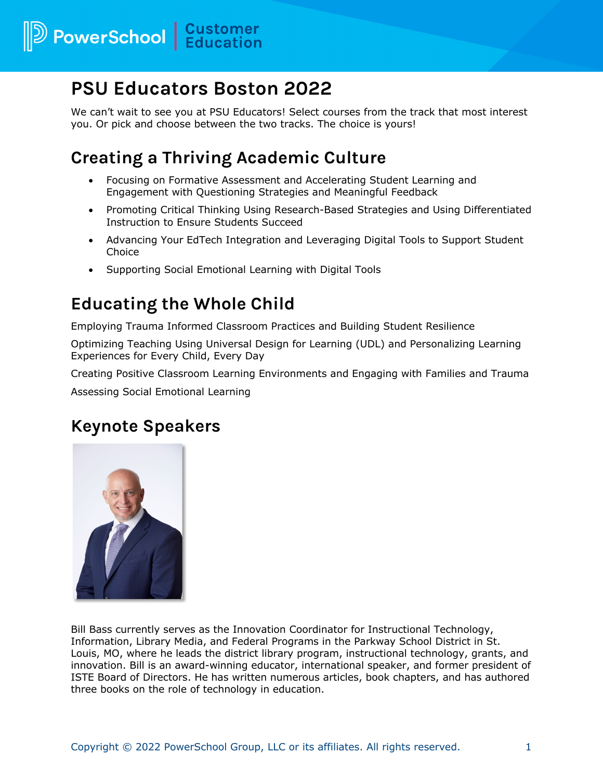## **PSU Educators Boston 2022**

We can't wait to see you at PSU Educators! Select courses from the track that most interest you. Or pick and choose between the two tracks. The choice is yours!

## **Creating a Thriving Academic Culture**

- Focusing on Formative Assessment and Accelerating Student Learning and Engagement with Questioning Strategies and Meaningful Feedback
- Promoting Critical Thinking Using Research-Based Strategies and Using Differentiated Instruction to Ensure Students Succeed
- Advancing Your EdTech Integration and Leveraging Digital Tools to Support Student Choice
- Supporting Social Emotional Learning with Digital Tools

## **Educating the Whole Child**

Employing Trauma Informed Classroom Practices and Building Student Resilience

Optimizing Teaching Using Universal Design for Learning (UDL) and Personalizing Learning Experiences for Every Child, Every Day

Creating Positive Classroom Learning Environments and Engaging with Families and Trauma

Assessing Social Emotional Learning

## **Keynote Speakers**



Bill Bass currently serves as the Innovation Coordinator for Instructional Technology, Information, Library Media, and Federal Programs in the Parkway School District in St. Louis, MO, where he leads the district library program, instructional technology, grants, and innovation. Bill is an award-winning educator, international speaker, and former president of ISTE Board of Directors. He has written numerous articles, book chapters, and has authored three books on the role of technology in education.